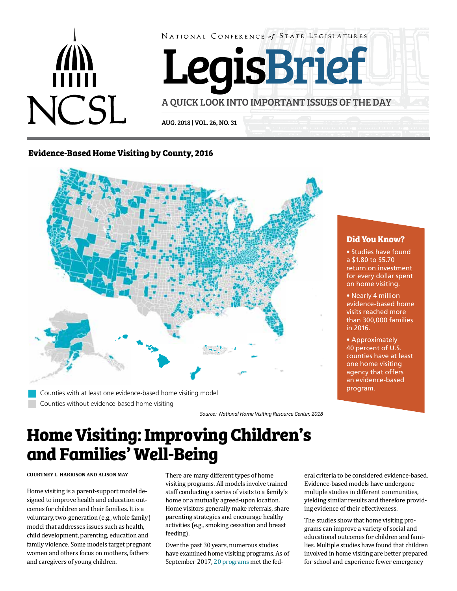

NATIONAL CONFERENCE of STATE LEGISLATURES

LegisBrief

A QUICK LOOK INTO IMPORTANT ISSUES OF THE DAY

AUG. 2018 | VOL. 26, NO. 31

## **Evidence-Based Home Visiting by County, 2016**



Counties with at least one evidence-based home visiting model Counties without evidence-based home visiting

*Source: National Home Visiting Resource Center, 2018*

# **Home Visiting: Improving Children's and Families' Well-Being**

**COURTNEY L. HARRISON AND ALISON MAY**

Home visiting is a parent-support model designed to improve health and education outcomes for children and their families. It is a voluntary, two-generation (e.g., whole family) model that addresses issues such as health, child development, parenting, education and family violence. Some models target pregnant women and others focus on mothers, fathers and caregivers of young children.

There are many different types of home visiting programs. All models involve trained staff conducting a series of visits to a family's home or a mutually agreed-upon location. Home visitors generally make referrals, share parenting strategies and encourage healthy activities (e.g., smoking cessation and breast feeding).

Over the past 30 years, numerous studies have examined home visiting programs. As of September 2017, [20 programs m](https://homvee.acf.hhs.gov/homevee_executive_summary_brief_august_2017_508_compliant.pdf#Brief1)et the federal criteria to be considered evidence-based. Evidence-based models have undergone multiple studies in different communities, yielding similar results and therefore providing evidence of their effectiveness.

The studies show that home visiting programs can improve a variety of social and educational outcomes for children and families. Multiple studies have found that children involved in home visiting are better prepared for school and experience fewer emergency

## **Did You Know?**

• Studies have found a \$1.80 to \$5.70 [return on investment](https://www.rand.org/content/dam/rand/pubs/monographs/2005/RAND_MG341.pdf) for every dollar spent on home visiting.

• Nearly 4 million evidence-based home visits reached more than 300,000 families in 2016.

• Approximately 40 percent of U.S. counties have at least one home visiting agency that offers an evidence-based program.